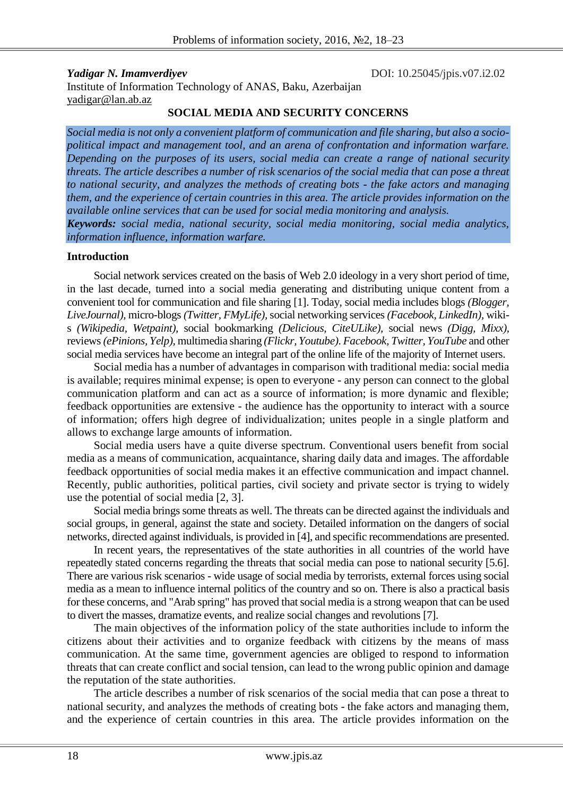*Yadigar N. Imamverdiyev* DOI: 10.25045/jpis.v07.i2.02 Institute of Information Technology of ANAS, Baku, Azerbaijan yadigar@lan.ab.az

#### **SOCIAL MEDIA AND SECURITY CONCERNS**

*Social media is not only a convenient platform of communication and file sharing, but also a sociopolitical impact and management tool, and an arena of confrontation and information warfare. Depending on the purposes of its users, social media can create a range of national security threats. The article describes a number of risk scenarios of the social media that can pose a threat to national security, and analyzes the methods of creating bots - the fake actors and managing them, and the experience of certain countries in this area. The article provides information on the available online services that can be used for social media monitoring and analysis. Keywords: social media, national security, social media monitoring, social media analytics, information influence, information warfare.*

#### **Introduction**

Social network services created on the basis of Web 2.0 ideology in a very short period of time, in the last decade, turned into a social media generating and distributing unique content from a convenient tool for communication and file sharing [1]. Today, social media includes blogs *(Blogger, LiveJournal),* micro-blogs *(Twitter, FMyLife),*social networking services *(Facebook, LinkedIn),* wikis *(Wikipedia, Wetpaint),* social bookmarking *(Delicious, CiteULike),* social news *(Digg, Mixx),* reviews *(ePinions, Yelp),* multimedia sharing *(Flickr, Youtube)*. *Facebook, Twitter, YouTube* and other social media services have become an integral part of the online life of the majority of Internet users.

Social media has a number of advantages in comparison with traditional media: social media is available; requires minimal expense; is open to everyone - any person can connect to the global communication platform and can act as a source of information; is more dynamic and flexible; feedback opportunities are extensive - the audience has the opportunity to interact with a source of information; offers high degree of individualization; unites people in a single platform and allows to exchange large amounts of information.

Social media users have a quite diverse spectrum. Conventional users benefit from social media as a means of communication, acquaintance, sharing daily data and images. The affordable feedback opportunities of social media makes it an effective communication and impact channel. Recently, public authorities, political parties, civil society and private sector is trying to widely use the potential of social media [2, 3].

Social media brings some threats as well. The threats can be directed against the individuals and social groups, in general, against the state and society. Detailed information on the dangers of social networks, directed against individuals, is provided in [4], and specific recommendations are presented.

In recent years, the representatives of the state authorities in all countries of the world have repeatedly stated concerns regarding the threats that social media can pose to national security [5.6]. There are various risk scenarios - wide usage of social media by terrorists, external forces using social media as a mean to influence internal politics of the country and so on. There is also a practical basis for these concerns, and "Arab spring" has proved that social media is a strong weapon that can be used to divert the masses, dramatize events, and realize social changes and revolutions [7].

The main objectives of the information policy of the state authorities include to inform the citizens about their activities and to organize feedback with citizens by the means of mass communication. At the same time, government agencies are obliged to respond to information threats that can create conflict and social tension, can lead to the wrong public opinion and damage the reputation of the state authorities.

The article describes a number of risk scenarios of the social media that can pose a threat to national security, and analyzes the methods of creating bots - the fake actors and managing them, and the experience of certain countries in this area. The article provides information on the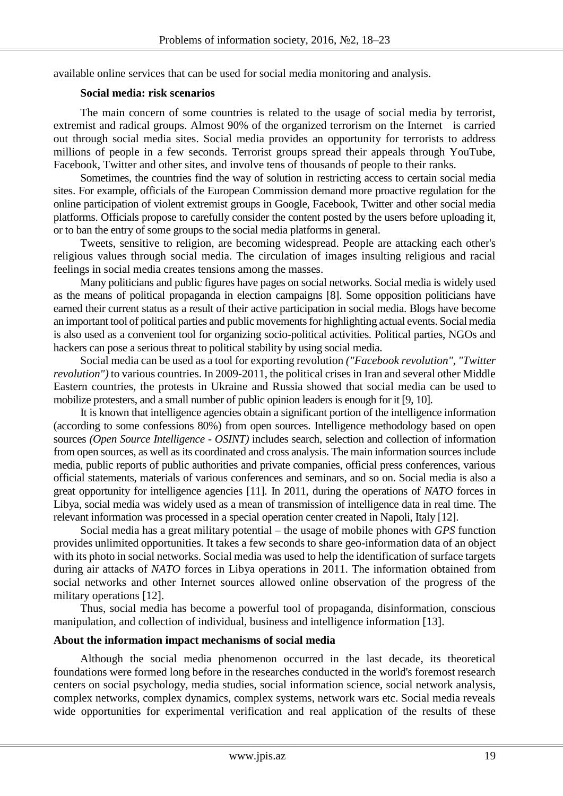available online services that can be used for social media monitoring and analysis.

#### **Social media: risk scenarios**

The main concern of some countries is related to the usage of social media by terrorist, extremist and radical groups. Almost 90% of the organized terrorism on the Internet is carried out through social media sites. Social media provides an opportunity for terrorists to address millions of people in a few seconds. Terrorist groups spread their appeals through YouTube, Facebook, Twitter and other sites, and involve tens of thousands of people to their ranks.

Sometimes, the countries find the way of solution in restricting access to certain social media sites. For example, officials of the European Commission demand more proactive regulation for the online participation of violent extremist groups in Google, Facebook, Twitter and other social media platforms. Officials propose to carefully consider the content posted by the users before uploading it, or to ban the entry of some groups to the social media platforms in general.

Tweets, sensitive to religion, are becoming widespread. People are attacking each other's religious values through social media. The circulation of images insulting religious and racial feelings in social media creates tensions among the masses.

Many politicians and public figures have pages on social networks. Social media is widely used as the means of political propaganda in election campaigns [8]. Some opposition politicians have earned their current status as a result of their active participation in social media. Blogs have become an important tool of political parties and public movements for highlighting actual events. Social media is also used as a convenient tool for organizing socio-political activities. Political parties, NGOs and hackers can pose a serious threat to political stability by using social media.

Social media can be used as a tool for exporting revolution *("Facebook revolution", "Twitter revolution")* to various countries. In 2009-2011, the political crises in Iran and several other Middle Eastern countries, the protests in Ukraine and Russia showed that social media can be used to mobilize protesters, and a small number of public opinion leaders is enough for it [9, 10].

It is known that intelligence agencies obtain a significant portion of the intelligence information (according to some confessions 80%) from open sources. Intelligence methodology based on open sources *(Open Source Intelligence - OSINT)* includes search, selection and collection of information from open sources, as well as its coordinated and cross analysis. The main information sources include media, public reports of public authorities and private companies, official press conferences, various official statements, materials of various conferences and seminars, and so on. Social media is also a great opportunity for intelligence agencies [11]. In 2011, during the operations of *NATO* forces in Libya, social media was widely used as a mean of transmission of intelligence data in real time. The relevant information was processed in a special operation center created in Napoli, Italy [12].

Social media has a great military potential – the usage of mobile phones with *GPS* function provides unlimited opportunities. It takes a few seconds to share geo-information data of an object with its photo in social networks. Social media was used to help the identification of surface targets during air attacks of *NATO* forces in Libya operations in 2011. The information obtained from social networks and other Internet sources allowed online observation of the progress of the military operations [12].

Thus, social media has become a powerful tool of propaganda, disinformation, conscious manipulation, and collection of individual, business and intelligence information [13].

# **About the information impact mechanisms of social media**

Although the social media phenomenon occurred in the last decade, its theoretical foundations were formed long before in the researches conducted in the world's foremost research centers on social psychology, media studies, social information science, social network analysis, complex networks, complex dynamics, complex systems, network wars etc. Social media reveals wide opportunities for experimental verification and real application of the results of these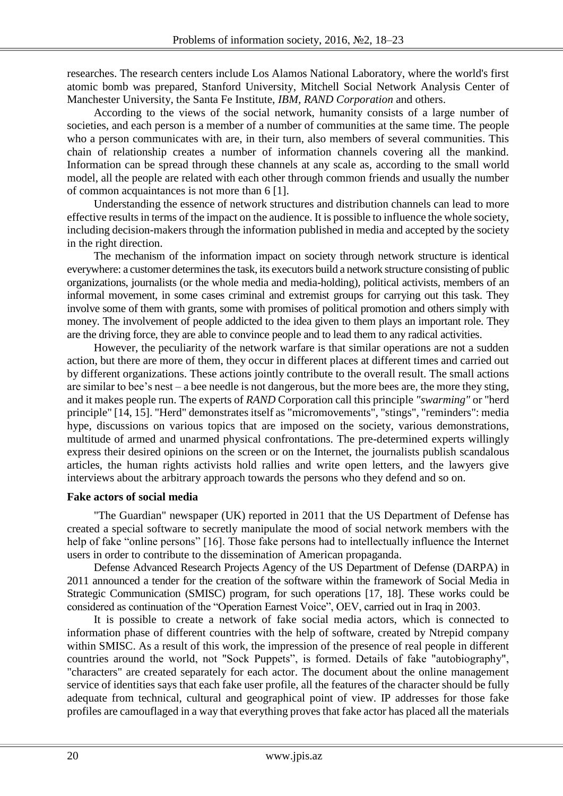researches. The research centers include Los Alamos National Laboratory, where the world's first atomic bomb was prepared, Stanford University, Mitchell Social Network Analysis Center of Manchester University, the Santa Fe Institute, *IBM, RAND Corporation* and others.

According to the views of the social network, humanity consists of a large number of societies, and each person is a member of a number of communities at the same time. The people who a person communicates with are, in their turn, also members of several communities. This chain of relationship creates a number of information channels covering all the mankind. Information can be spread through these channels at any scale as, according to the small world model, all the people are related with each other through common friends and usually the number of common acquaintances is not more than 6 [1].

Understanding the essence of network structures and distribution channels can lead to more effective results in terms of the impact on the audience. It is possible to influence the whole society, including decision-makers through the information published in media and accepted by the society in the right direction.

The mechanism of the information impact on society through network structure is identical everywhere: a customer determines the task, its executors build a network structure consisting of public organizations, journalists (or the whole media and media-holding), political activists, members of an informal movement, in some cases criminal and extremist groups for carrying out this task. They involve some of them with grants, some with promises of political promotion and others simply with money. The involvement of people addicted to the idea given to them plays an important role. They are the driving force, they are able to convince people and to lead them to any radical activities.

However, the peculiarity of the network warfare is that similar operations are not a sudden action, but there are more of them, they occur in different places at different times and carried out by different organizations. These actions jointly contribute to the overall result. The small actions are similar to bee's nest – a bee needle is not dangerous, but the more bees are, the more they sting, and it makes people run. The experts of *RAND* Corporation call this principle *"swarming"* or "herd principle" [14, 15]. "Herd" demonstrates itself as "micromovements", "stings", "reminders": media hype, discussions on various topics that are imposed on the society, various demonstrations, multitude of armed and unarmed physical confrontations. The pre-determined experts willingly express their desired opinions on the screen or on the Internet, the journalists publish scandalous articles, the human rights activists hold rallies and write open letters, and the lawyers give interviews about the arbitrary approach towards the persons who they defend and so on.

# **Fake actors of social media**

"The Guardian" newspaper (UK) reported in 2011 that the US Department of Defense has created a special software to secretly manipulate the mood of social network members with the help of fake "online persons" [16]. Those fake persons had to intellectually influence the Internet users in order to contribute to the dissemination of American propaganda.

[Defense Advanced Research Projects Agency](http://www.darpa.mil/) of the US Department of Defense (DARPA) in 2011 announced a tender for the creation of the software within the framework of Social Media in Strategic Communication (SMISC) program, for such operations [17, 18]. These works could be considered as continuation of the "Operation Earnest Voice", OEV, carried out in Iraq in 2003.

It is possible to create a network of fake social media actors, which is connected to information phase of different countries with the help of software, created by Ntrepid company within SMISC. As a result of this work, the impression of the presence of real people in different countries around the world, not "Sock Puppets", is formed. Details of fake "autobiography", "characters" are created separately for each actor. The document about the online management service of identities says that each fake user profile, all the features of the character should be fully adequate from technical, cultural and geographical point of view. IP addresses for those fake profiles are camouflaged in a way that everything proves that fake actor has placed all the materials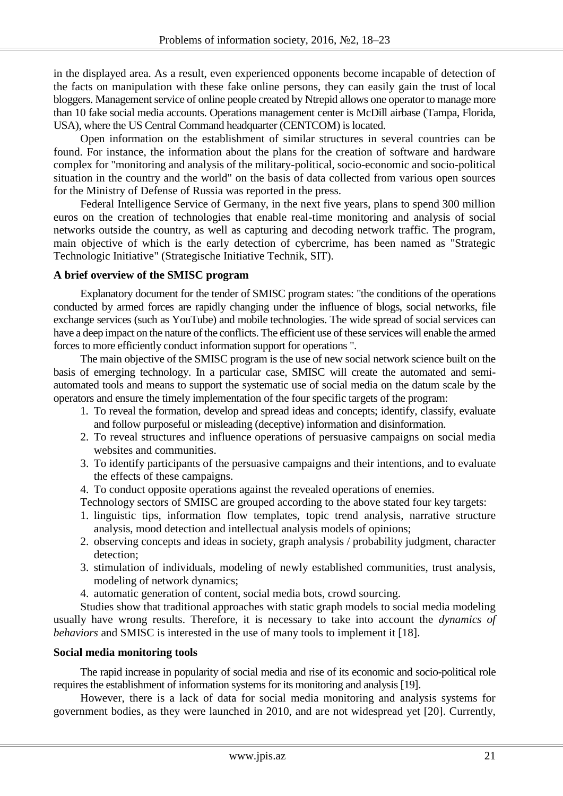in the displayed area. As a result, even experienced opponents become incapable of detection of the facts on manipulation with these fake online persons, they can easily gain the trust of local bloggers. Management service of online people created by Ntrepid allows one operator to manage more than 10 fake social media accounts. Operations management center is McDill airbase (Tampa, Florida, USA), where the US Central Command headquarter (CENTCOM) is located.

Open information on the establishment of similar structures in several countries can be found. For instance, the information about the plans for the creation of software and hardware complex for "monitoring and analysis of the military-political, socio-economic and socio-political situation in the country and the world" on the basis of data collected from various open sources for the Ministry of Defense of Russia was reported in the press.

Federal Intelligence Service of Germany, in the next five years, plans to spend 300 million euros on the creation of technologies that enable real-time monitoring and analysis of social networks outside the country, as well as capturing and decoding network traffic. The program, main objective of which is the early detection of cybercrime, has been named as "Strategic Technologic Initiative" (Strategische Initiative Technik, SIT).

#### **A brief overview of the SMISC program**

Explanatory document for the tender of SMISC program states: "the conditions of the operations conducted by armed forces are rapidly changing under the influence of blogs, social networks, file exchange services (such as YouTube) and mobile technologies. The wide spread of social services can have a deep impact on the nature of the conflicts. The efficient use of these services will enable the armed forces to more efficiently conduct information support for operations ".

The main objective of the SMISC program is the use of new social network science built on the basis of emerging technology. In a particular case, SMISC will create the automated and semiautomated tools and means to support the systematic use of social media on the datum scale by the operators and ensure the timely implementation of the four specific targets of the program:

- 1. To reveal the formation, develop and spread ideas and concepts; identify, classify, evaluate and follow purposeful or misleading (deceptive) information and disinformation.
- 2. To reveal structures and influence operations of persuasive campaigns on social media websites and communities.
- 3. To identify participants of the persuasive campaigns and their intentions, and to evaluate the effects of these campaigns.
- 4. To conduct opposite operations against the revealed operations of enemies.

Technology sectors of SMISC are grouped according to the above stated four key targets:

- 1. linguistic tips, information flow templates, topic trend analysis, narrative structure analysis, mood detection and intellectual analysis models of opinions;
- 2. observing concepts and ideas in society, graph analysis / probability judgment, character detection;
- 3. stimulation of individuals, modeling of newly established communities, trust analysis, modeling of network dynamics;
- 4. automatic generation of content, social media bots, crowd sourcing.

Studies show that traditional approaches with static graph models to social media modeling usually have wrong results. Therefore, it is necessary to take into account the *dynamics of behaviors* and SMISC is interested in the use of many tools to implement it [18].

# **Social media monitoring tools**

The rapid increase in popularity of social media and rise of its economic and socio-political role requires the establishment of information systems for its monitoring and analysis [19].

However, there is a lack of data for social media monitoring and analysis systems for government bodies, as they were launched in 2010, and are not widespread yet [20]. Currently,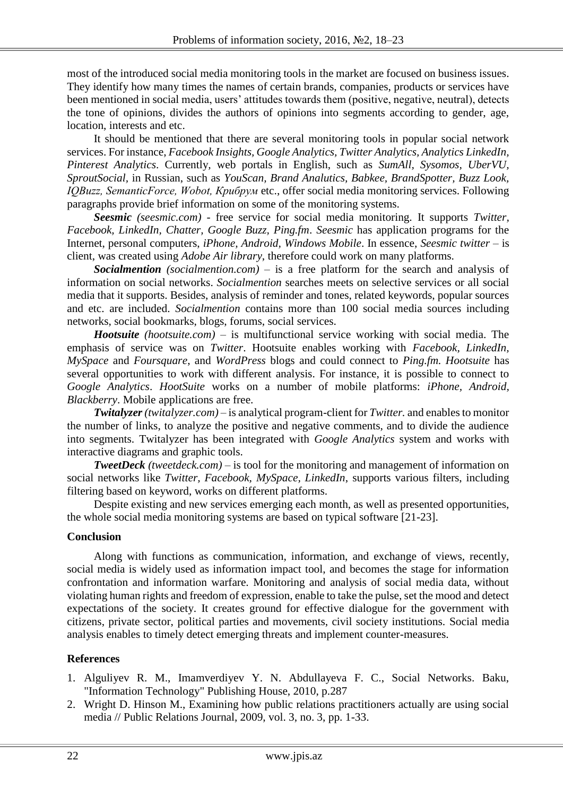most of the introduced social media monitoring tools in the market are focused on business issues. They identify how many times the names of certain brands, companies, products or services have been mentioned in social media, users' attitudes towards them (positive, negative, neutral), detects the tone of opinions, divides the authors of opinions into segments according to gender, age, location, interests and etc.

It should be mentioned that there are several monitoring tools in popular social network services. For instance, *Facebook Insights, Google Analytics, Twitter Analytics, Analytics LinkedIn, Pinterest Analytics*. Currently*,* web portals in English, such as *SumAll, Sysomos, UberVU, SproutSocial,* in Russian, such as *YouScan, Brand Analutics, Babkee, BrandSpotter, Buzz Look, IQBuzz, SemanticForce, Wobot, Крибрум* etc., offer social media monitoring services. Following paragraphs provide brief information on some of the monitoring systems.

*Seesmic (seesmic.com)* - free service for social media monitoring. It supports *Twitter, Facebook, LinkedIn, Chatter, Google Buzz, Ping.fm*. *Seesmic* has application programs for the Internet, personal computers, *iPhone, Android, Windows Mobile*. In essence, *Seesmic twitter* – is client, was created using *Adobe Air library*, therefore could work on many platforms.

*Socialmention (socialmention.com)* – is a free platform for the search and analysis of information on social networks. *Socialmention* searches meets on selective services or all social media that it supports. Besides, analysis of reminder and tones, related keywords, popular sources and etc. are included. *Socialmention* contains more than 100 social media sources including networks, social bookmarks, blogs, forums, social services.

*Hootsuite (hootsuite.com)* – is multifunctional service working with social media. The emphasis of service was on *Twitter*. Hootsuite enables working with *Facebook, LinkedIn, MySpace* and *Foursquare*, and *WordPress* blogs and could connect to *Ping.fm. Hootsuite* has several opportunities to work with different analysis. For instance, it is possible to connect to *Google Analytics*. *HootSuite* works on a number of mobile platforms: *iPhone, Android, Blackberry*. Mobile applications are free.

*Twitalyzer (twitalyzer.com)* – is analytical program-client for *Twitter.* and enables to monitor the number of links, to analyze the positive and negative comments, and to divide the audience into segments. Twitalyzer has been integrated with *Google Analytics* system and works with interactive diagrams and graphic tools.

*TweetDeck (tweetdeck.com)* – is tool for the monitoring and management of information on social networks like *Twitter, Facebook, MySpace, LinkedIn*, supports various filters, including filtering based on keyword, works on different platforms.

Despite existing and new services emerging each month, as well as presented opportunities, the whole social media monitoring systems are based on typical software [21-23].

# **Conclusion**

Along with functions as communication, information, and exchange of views, recently, social media is widely used as information impact tool, and becomes the stage for information confrontation and information warfare. Monitoring and analysis of social media data, without violating human rights and freedom of expression, enable to take the pulse, set the mood and detect expectations of the society. It creates ground for effective dialogue for the government with citizens, private sector, political parties and movements, civil society institutions. Social media analysis enables to timely detect emerging threats and implement counter-measures.

# **References**

- 1. Alguliyev R. M., Imamverdiyev Y. N. Abdullayeva F. C., Social Networks. Baku, "Information Technology" Publishing House, 2010, p.287
- 2. Wright D. Hinson M., Examining how public relations practitioners actually are using social media // Public Relations Journal, 2009, vol. 3, no. 3, pp. 1-33.